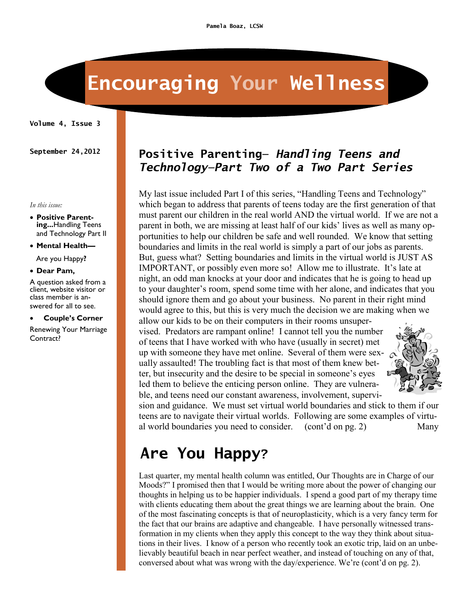# **Encouraging Your Wellness**

**Volume 4, Issue 3**

#### *In this issue:*

- **Positive Parenting...**Handling Teens and Technology Part II
- **Mental Health—**

Are you Happy**?**

**Dear Pam,**

A question asked from a client, website visitor or class member is answered for all to see.

**Couple's Corner**

Renewing Your Marriage Contract?

#### **September 24,2012 Positive Parenting—** *Handling Teens and Technology—Part Two of a Two Part Series*

My last issue included Part I of this series, "Handling Teens and Technology" which began to address that parents of teens today are the first generation of that must parent our children in the real world AND the virtual world. If we are not a parent in both, we are missing at least half of our kids' lives as well as many opportunities to help our children be safe and well rounded. We know that setting boundaries and limits in the real world is simply a part of our jobs as parents. But, guess what? Setting boundaries and limits in the virtual world is JUST AS IMPORTANT, or possibly even more so! Allow me to illustrate. It's late at night, an odd man knocks at your door and indicates that he is going to head up to your daughter's room, spend some time with her alone, and indicates that you should ignore them and go about your business. No parent in their right mind would agree to this, but this is very much the decision we are making when we allow our kids to be on their computers in their rooms unsuper-

vised. Predators are rampant online! I cannot tell you the number of teens that I have worked with who have (usually in secret) met up with someone they have met online. Several of them were sexually assaulted! The troubling fact is that most of them knew better, but insecurity and the desire to be special in someone's eyes led them to believe the enticing person online. They are vulnerable, and teens need our constant awareness, involvement, supervi-



sion and guidance. We must set virtual world boundaries and stick to them if our teens are to navigate their virtual worlds. Following are some examples of virtual world boundaries you need to consider. (cont'd on pg. 2) Many

## **Are You Happy?**

Last quarter, my mental health column was entitled, Our Thoughts are in Charge of our Moods?" I promised then that I would be writing more about the power of changing our thoughts in helping us to be happier individuals. I spend a good part of my therapy time with clients educating them about the great things we are learning about the brain. One of the most fascinating concepts is that of neuroplasticity, which is a very fancy term for the fact that our brains are adaptive and changeable. I have personally witnessed transformation in my clients when they apply this concept to the way they think about situations in their lives. I know of a person who recently took an exotic trip, laid on an unbelievably beautiful beach in near perfect weather, and instead of touching on any of that, conversed about what was wrong with the day/experience. We're (cont'd on pg. 2).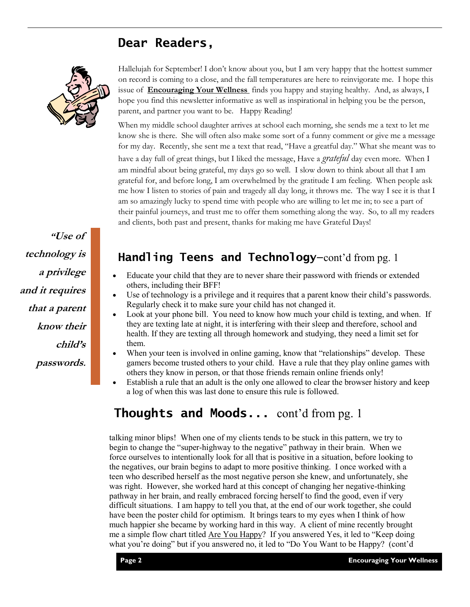#### **Dear Readers,**



**"Use of technology is a privilege and it requires that a parent know their child's passwords.**

Hallelujah for September! I don't know about you, but I am very happy that the hottest summer on record is coming to a close, and the fall temperatures are here to reinvigorate me. I hope this issue of **Encouraging Your Wellness** finds you happy and staying healthy. And, as always, I hope you find this newsletter informative as well as inspirational in helping you be the person, parent, and partner you want to be. Happy Reading!

When my middle school daughter arrives at school each morning, she sends me a text to let me know she is there. She will often also make some sort of a funny comment or give me a message for my day. Recently, she sent me a text that read, "Have a greatful day." What she meant was to have a day full of great things, but I liked the message, Have a *grateful* day even more. When I am mindful about being grateful, my days go so well. I slow down to think about all that I am grateful for, and before long, I am overwhelmed by the gratitude I am feeling. When people ask me how I listen to stories of pain and tragedy all day long, it throws me. The way I see it is that I am so amazingly lucky to spend time with people who are willing to let me in; to see a part of their painful journeys, and trust me to offer them something along the way. So, to all my readers and clients, both past and present, thanks for making me have Grateful Days!

#### **Handling Teens and Technology—**cont'd from pg. 1

- Educate your child that they are to never share their password with friends or extended others, including their BFF!
- Use of technology is a privilege and it requires that a parent know their child's passwords. Regularly check it to make sure your child has not changed it.
- Look at your phone bill. You need to know how much your child is texting, and when. If they are texting late at night, it is interfering with their sleep and therefore, school and health. If they are texting all through homework and studying, they need a limit set for them.
- When your teen is involved in online gaming, know that "relationships" develop. These gamers become trusted others to your child. Have a rule that they play online games with others they know in person, or that those friends remain online friends only!
- Establish a rule that an adult is the only one allowed to clear the browser history and keep a log of when this was last done to ensure this rule is followed.

#### **Thoughts and Moods...** cont'd from pg. 1

talking minor blips! When one of my clients tends to be stuck in this pattern, we try to begin to change the "super-highway to the negative" pathway in their brain. When we force ourselves to intentionally look for all that is positive in a situation, before looking to the negatives, our brain begins to adapt to more positive thinking. I once worked with a teen who described herself as the most negative person she knew, and unfortunately, she was right. However, she worked hard at this concept of changing her negative-thinking pathway in her brain, and really embraced forcing herself to find the good, even if very difficult situations. I am happy to tell you that, at the end of our work together, she could have been the poster child for optimism. It brings tears to my eyes when I think of how much happier she became by working hard in this way. A client of mine recently brought me a simple flow chart titled <u>Are You Happy</u>? If you answered Yes, it led to "Keep doing" what you're doing" but if you answered no, it led to "Do You Want to be Happy? (cont'd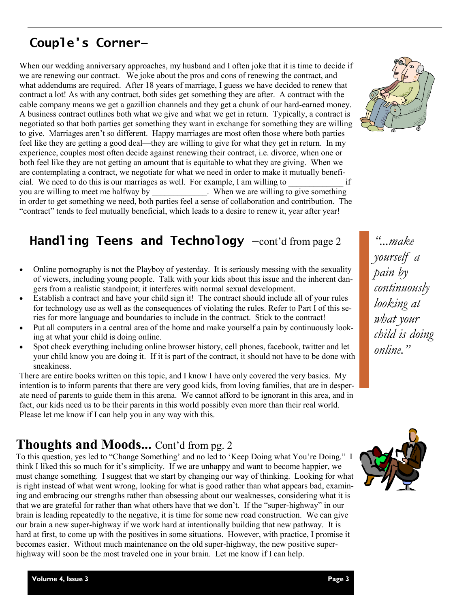## **Couple's Corner—**

When our wedding anniversary approaches, my husband and I often joke that it is time to decide if we are renewing our contract. We joke about the pros and cons of renewing the contract, and what addendums are required. After 18 years of marriage, I guess we have decided to renew that contract a lot! As with any contract, both sides get something they are after. A contract with the cable company means we get a gazillion channels and they get a chunk of our hard-earned money. A business contract outlines both what we give and what we get in return. Typically, a contract is negotiated so that both parties get something they want in exchange for something they are willing to give. Marriages aren't so different. Happy marriages are most often those where both parties feel like they are getting a good deal—they are willing to give for what they get in return. In my experience, couples most often decide against renewing their contract, i.e. divorce, when one or both feel like they are not getting an amount that is equitable to what they are giving. When we are contemplating a contract, we negotiate for what we need in order to make it mutually beneficial. We need to do this is our marriages as well. For example, I am willing to  $\frac{1}{\omega}$  if vou are willing to meet me halfway by When we are willing to give something . When we are willing to give something in order to get something we need, both parties feel a sense of collaboration and contribution. The "contract" tends to feel mutually beneficial, which leads to a desire to renew it, year after year!

## **Handling Teens and Technology —**cont'd from page 2 *"...make*

- Online pornography is not the Playboy of yesterday. It is seriously messing with the sexuality of viewers, including young people. Talk with your kids about this issue and the inherent dangers from a realistic standpoint; it interferes with normal sexual development.
- Establish a contract and have your child sign it! The contract should include all of your rules for technology use as well as the consequences of violating the rules. Refer to Part I of this series for more language and boundaries to include in the contract. Stick to the contract!
- Put all computers in a central area of the home and make yourself a pain by continuously looking at what your child is doing online.
- Spot check everything including online browser history, cell phones, facebook, twitter and let your child know you are doing it. If it is part of the contract, it should not have to be done with sneakiness.

There are entire books written on this topic, and I know I have only covered the very basics. My intention is to inform parents that there are very good kids, from loving families, that are in desperate need of parents to guide them in this arena. We cannot afford to be ignorant in this area, and in fact, our kids need us to be their parents in this world possibly even more than their real world. Please let me know if I can help you in any way with this.

#### **Thoughts and Moods...** Cont'd from pg. 2

To this question, yes led to "Change Something' and no led to 'Keep Doing what You're Doing." I think I liked this so much for it's simplicity. If we are unhappy and want to become happier, we must change something. I suggest that we start by changing our way of thinking. Looking for what is right instead of what went wrong, looking for what is good rather than what appears bad, examining and embracing our strengths rather than obsessing about our weaknesses, considering what it is that we are grateful for rather than what others have that we don't. If the "super-highway" in our brain is leading repeatedly to the negative, it is time for some new road construction. We can give our brain a new super-highway if we work hard at intentionally building that new pathway. It is hard at first, to come up with the positives in some situations. However, with practice, I promise it becomes easier. Without much maintenance on the old super-highway, the new positive superhighway will soon be the most traveled one in your brain. Let me know if I can help.



*yourself a pain by continuously looking at what your child is doing online."*